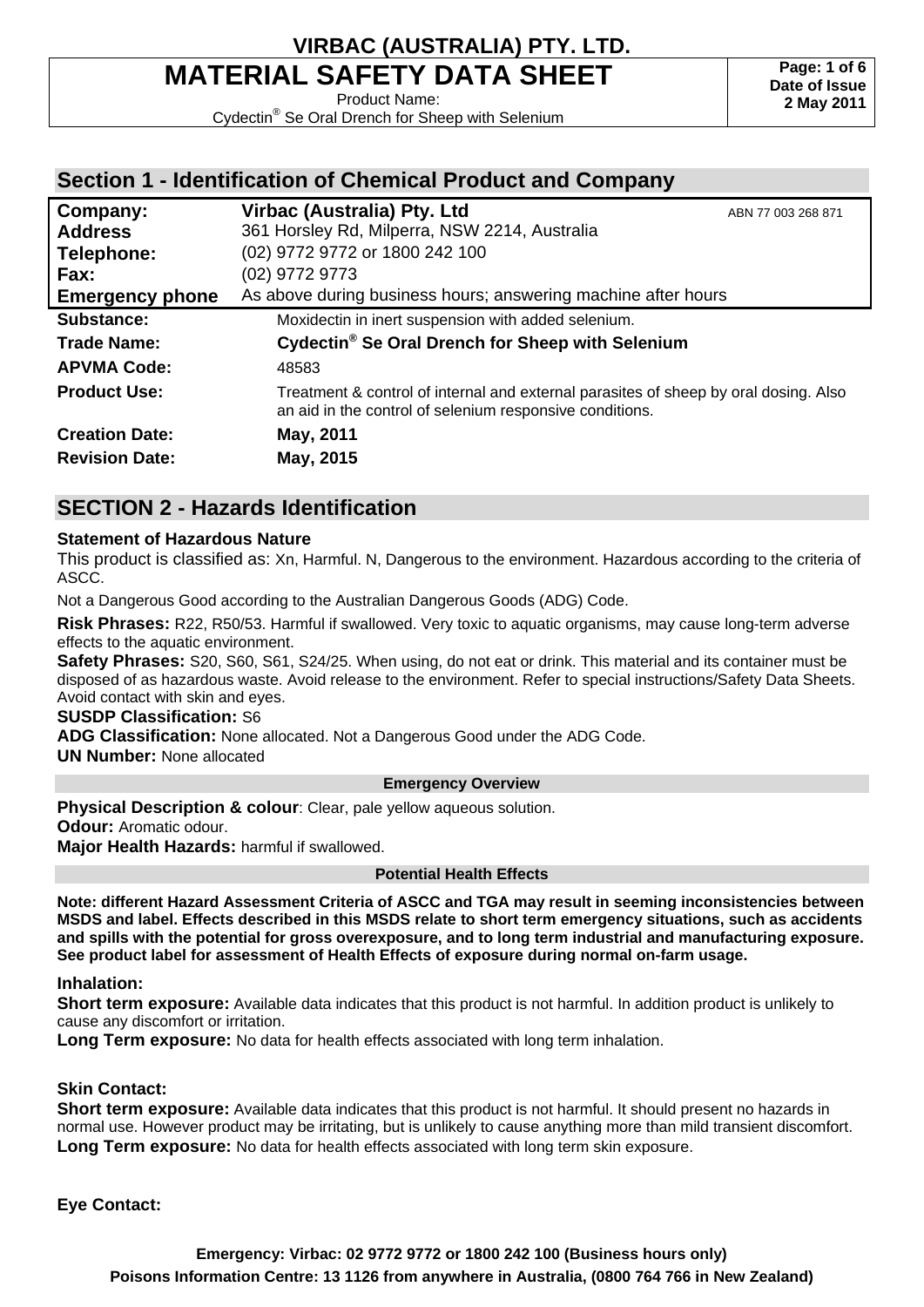# **MATERIAL SAFETY DATA SHEET**

Product Name:

Cydectin® Se Oral Drench for Sheep with Selenium

### **Section 1 - Identification of Chemical Product and Company**

| Company:               | Virbac (Australia) Pty. Ltd                                                                                                                      | ABN 77 003 268 871 |
|------------------------|--------------------------------------------------------------------------------------------------------------------------------------------------|--------------------|
| <b>Address</b>         | 361 Horsley Rd, Milperra, NSW 2214, Australia                                                                                                    |                    |
| Telephone:             | (02) 9772 9772 or 1800 242 100                                                                                                                   |                    |
| Fax:                   | (02) 9772 9773                                                                                                                                   |                    |
| <b>Emergency phone</b> | As above during business hours; answering machine after hours                                                                                    |                    |
| Substance:             | Moxidectin in inert suspension with added selenium.                                                                                              |                    |
| <b>Trade Name:</b>     | Cydectin <sup>®</sup> Se Oral Drench for Sheep with Selenium                                                                                     |                    |
| <b>APVMA Code:</b>     | 48583                                                                                                                                            |                    |
| <b>Product Use:</b>    | Treatment & control of internal and external parasites of sheep by oral dosing. Also<br>an aid in the control of selenium responsive conditions. |                    |
| <b>Creation Date:</b>  | May, 2011                                                                                                                                        |                    |
| <b>Revision Date:</b>  | May, 2015                                                                                                                                        |                    |

### **SECTION 2 - Hazards Identification**

#### **Statement of Hazardous Nature**

This product is classified as: Xn, Harmful. N, Dangerous to the environment. Hazardous according to the criteria of ASCC.

Not a Dangerous Good according to the Australian Dangerous Goods (ADG) Code.

**Risk Phrases:** R22, R50/53. Harmful if swallowed. Very toxic to aquatic organisms, may cause long-term adverse effects to the aquatic environment.

**Safety Phrases:** S20, S60, S61, S24/25. When using, do not eat or drink. This material and its container must be disposed of as hazardous waste. Avoid release to the environment. Refer to special instructions/Safety Data Sheets. Avoid contact with skin and eyes.

#### **SUSDP Classification:** S6

**ADG Classification:** None allocated. Not a Dangerous Good under the ADG Code.

**UN Number:** None allocated

#### **Emergency Overview**

**Physical Description & colour:** Clear, pale yellow aqueous solution.

**Odour:** Aromatic odour.

**Major Health Hazards:** harmful if swallowed.

#### **Potential Health Effects**

**Note: different Hazard Assessment Criteria of ASCC and TGA may result in seeming inconsistencies between MSDS and label. Effects described in this MSDS relate to short term emergency situations, such as accidents and spills with the potential for gross overexposure, and to long term industrial and manufacturing exposure. See product label for assessment of Health Effects of exposure during normal on-farm usage.** 

#### **Inhalation:**

**Short term exposure:** Available data indicates that this product is not harmful. In addition product is unlikely to cause any discomfort or irritation.

**Long Term exposure:** No data for health effects associated with long term inhalation.

#### **Skin Contact:**

**Short term exposure:** Available data indicates that this product is not harmful. It should present no hazards in normal use. However product may be irritating, but is unlikely to cause anything more than mild transient discomfort. **Long Term exposure:** No data for health effects associated with long term skin exposure.

**Eye Contact:**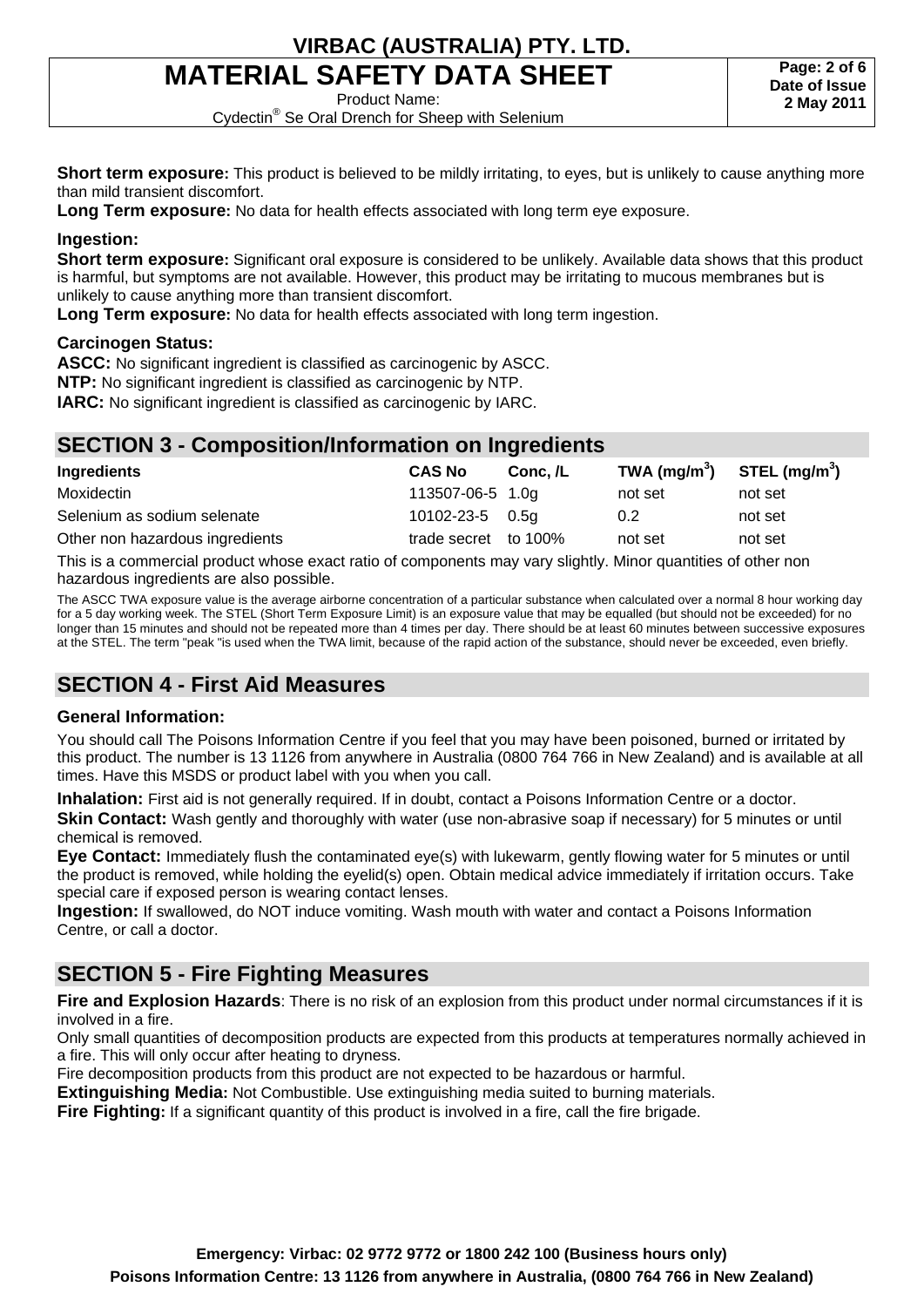# **MATERIAL SAFETY DATA SHEET**

Product Name:

Cydectin® Se Oral Drench for Sheep with Selenium

**Short term exposure:** This product is believed to be mildly irritating, to eyes, but is unlikely to cause anything more than mild transient discomfort.

**Long Term exposure:** No data for health effects associated with long term eye exposure.

#### **Ingestion:**

**Short term exposure:** Significant oral exposure is considered to be unlikely. Available data shows that this product is harmful, but symptoms are not available. However, this product may be irritating to mucous membranes but is unlikely to cause anything more than transient discomfort.

**Long Term exposure:** No data for health effects associated with long term ingestion.

#### **Carcinogen Status:**

**ASCC:** No significant ingredient is classified as carcinogenic by ASCC.

**NTP:** No significant ingredient is classified as carcinogenic by NTP.

**IARC:** No significant ingredient is classified as carcinogenic by IARC.

### **SECTION 3 - Composition/Information on Ingredients**

| Ingredients                     | <b>CAS No</b>         | Conc. /L | TWA (mg/m <sup>3</sup> ) STEL (mg/m <sup>3</sup> ) |         |
|---------------------------------|-----------------------|----------|----------------------------------------------------|---------|
| Moxidectin                      | 113507-06-5 1.0g      |          | not set                                            | not set |
| Selenium as sodium selenate     | $10102 - 23 - 5$ 0.5g |          | 0.2                                                | not set |
| Other non hazardous ingredients | trade secret to 100%  |          | not set                                            | not set |

This is a commercial product whose exact ratio of components may vary slightly. Minor quantities of other non hazardous ingredients are also possible.

The ASCC TWA exposure value is the average airborne concentration of a particular substance when calculated over a normal 8 hour working day for a 5 day working week. The STEL (Short Term Exposure Limit) is an exposure value that may be equalled (but should not be exceeded) for no longer than 15 minutes and should not be repeated more than 4 times per day. There should be at least 60 minutes between successive exposures at the STEL. The term "peak "is used when the TWA limit, because of the rapid action of the substance, should never be exceeded, even briefly.

## **SECTION 4 - First Aid Measures**

#### **General Information:**

You should call The Poisons Information Centre if you feel that you may have been poisoned, burned or irritated by this product. The number is 13 1126 from anywhere in Australia (0800 764 766 in New Zealand) and is available at all times. Have this MSDS or product label with you when you call.

**Inhalation:** First aid is not generally required. If in doubt, contact a Poisons Information Centre or a doctor. **Skin Contact:** Wash gently and thoroughly with water (use non-abrasive soap if necessary) for 5 minutes or until chemical is removed.

**Eye Contact:** Immediately flush the contaminated eye(s) with lukewarm, gently flowing water for 5 minutes or until the product is removed, while holding the eyelid(s) open. Obtain medical advice immediately if irritation occurs. Take special care if exposed person is wearing contact lenses.

**Ingestion:** If swallowed, do NOT induce vomiting. Wash mouth with water and contact a Poisons Information Centre, or call a doctor.

## **SECTION 5 - Fire Fighting Measures**

**Fire and Explosion Hazards**: There is no risk of an explosion from this product under normal circumstances if it is involved in a fire.

Only small quantities of decomposition products are expected from this products at temperatures normally achieved in a fire. This will only occur after heating to dryness.

Fire decomposition products from this product are not expected to be hazardous or harmful.

**Extinguishing Media:** Not Combustible. Use extinguishing media suited to burning materials.

**Fire Fighting:** If a significant quantity of this product is involved in a fire, call the fire brigade.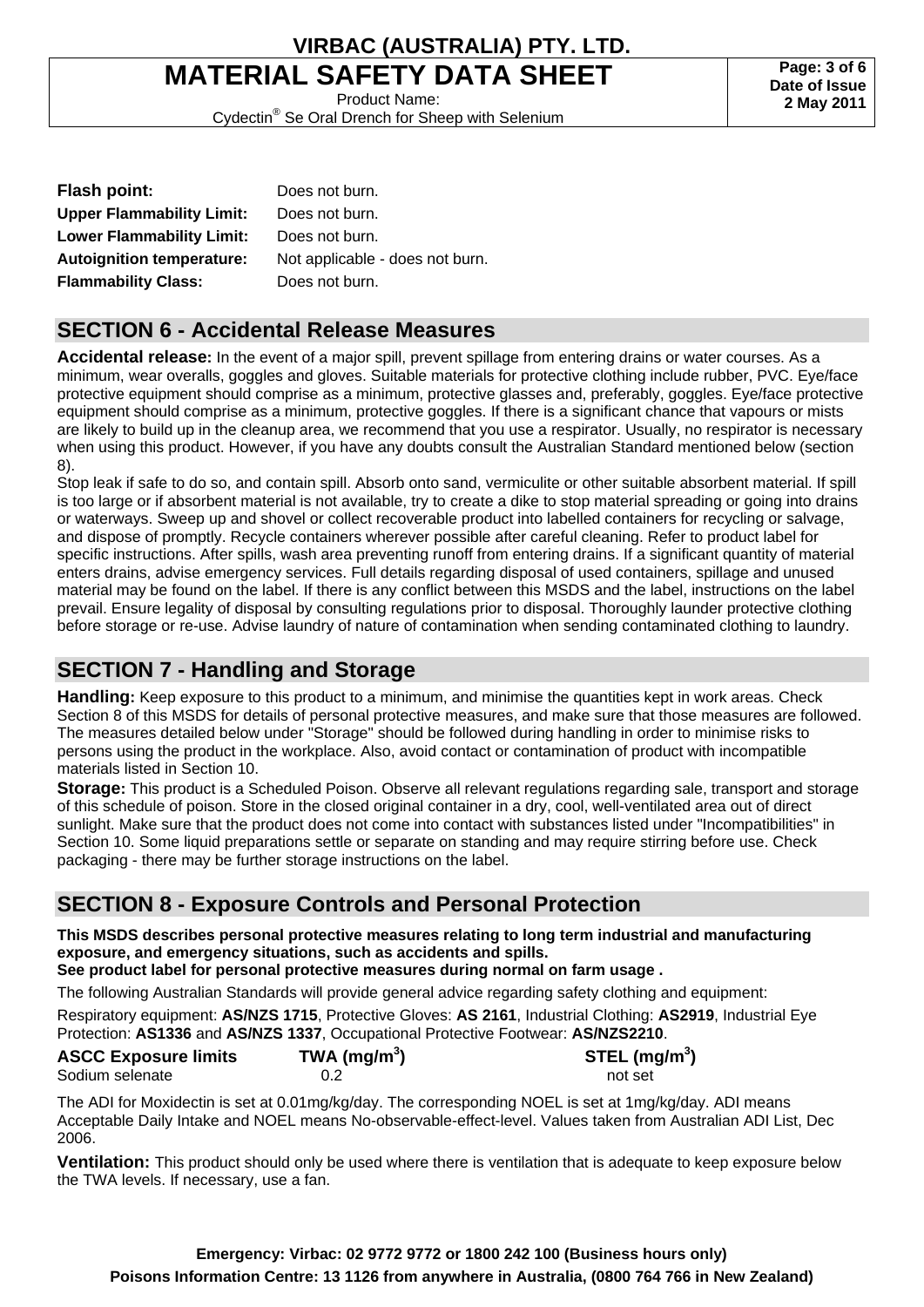# **MATERIAL SAFETY DATA SHEET**

Product Name: Cydectin® Se Oral Drench for Sheep with Selenium

**Page: 3 of 6 Date of Issue 2 May 2011**

| <b>Flash point:</b>              | Does not burn.                  |
|----------------------------------|---------------------------------|
| <b>Upper Flammability Limit:</b> | Does not burn.                  |
| <b>Lower Flammability Limit:</b> | Does not burn.                  |
| <b>Autoignition temperature:</b> | Not applicable - does not burn. |
| <b>Flammability Class:</b>       | Does not burn.                  |

### **SECTION 6 - Accidental Release Measures**

**Accidental release:** In the event of a major spill, prevent spillage from entering drains or water courses. As a minimum, wear overalls, goggles and gloves. Suitable materials for protective clothing include rubber, PVC. Eye/face protective equipment should comprise as a minimum, protective glasses and, preferably, goggles. Eye/face protective equipment should comprise as a minimum, protective goggles. If there is a significant chance that vapours or mists are likely to build up in the cleanup area, we recommend that you use a respirator. Usually, no respirator is necessary when using this product. However, if you have any doubts consult the Australian Standard mentioned below (section 8).

Stop leak if safe to do so, and contain spill. Absorb onto sand, vermiculite or other suitable absorbent material. If spill is too large or if absorbent material is not available, try to create a dike to stop material spreading or going into drains or waterways. Sweep up and shovel or collect recoverable product into labelled containers for recycling or salvage, and dispose of promptly. Recycle containers wherever possible after careful cleaning. Refer to product label for specific instructions. After spills, wash area preventing runoff from entering drains. If a significant quantity of material enters drains, advise emergency services. Full details regarding disposal of used containers, spillage and unused material may be found on the label. If there is any conflict between this MSDS and the label, instructions on the label prevail. Ensure legality of disposal by consulting regulations prior to disposal. Thoroughly launder protective clothing before storage or re-use. Advise laundry of nature of contamination when sending contaminated clothing to laundry.

## **SECTION 7 - Handling and Storage**

**Handling:** Keep exposure to this product to a minimum, and minimise the quantities kept in work areas. Check Section 8 of this MSDS for details of personal protective measures, and make sure that those measures are followed. The measures detailed below under "Storage" should be followed during handling in order to minimise risks to persons using the product in the workplace. Also, avoid contact or contamination of product with incompatible materials listed in Section 10.

**Storage:** This product is a Scheduled Poison. Observe all relevant regulations regarding sale, transport and storage of this schedule of poison. Store in the closed original container in a dry, cool, well-ventilated area out of direct sunlight. Make sure that the product does not come into contact with substances listed under "Incompatibilities" in Section 10. Some liquid preparations settle or separate on standing and may require stirring before use. Check packaging - there may be further storage instructions on the label.

## **SECTION 8 - Exposure Controls and Personal Protection**

#### **This MSDS describes personal protective measures relating to long term industrial and manufacturing exposure, and emergency situations, such as accidents and spills.**

**See product label for personal protective measures during normal on farm usage .** 

The following Australian Standards will provide general advice regarding safety clothing and equipment:

Respiratory equipment: **AS/NZS 1715**, Protective Gloves: **AS 2161**, Industrial Clothing: **AS2919**, Industrial Eye Protection: **AS1336** and **AS/NZS 1337**, Occupational Protective Footwear: **AS/NZS2210**.

| <b>ASCC Exposure limits</b> | TWA (mg/m $3$ ) | STEL (mg/m <sup>3</sup> ) |
|-----------------------------|-----------------|---------------------------|
| Sodium selenate             |                 | not set                   |

The ADI for Moxidectin is set at 0.01mg/kg/day. The corresponding NOEL is set at 1mg/kg/day. ADI means Acceptable Daily Intake and NOEL means No-observable-effect-level. Values taken from Australian ADI List, Dec 2006.

**Ventilation:** This product should only be used where there is ventilation that is adequate to keep exposure below the TWA levels. If necessary, use a fan.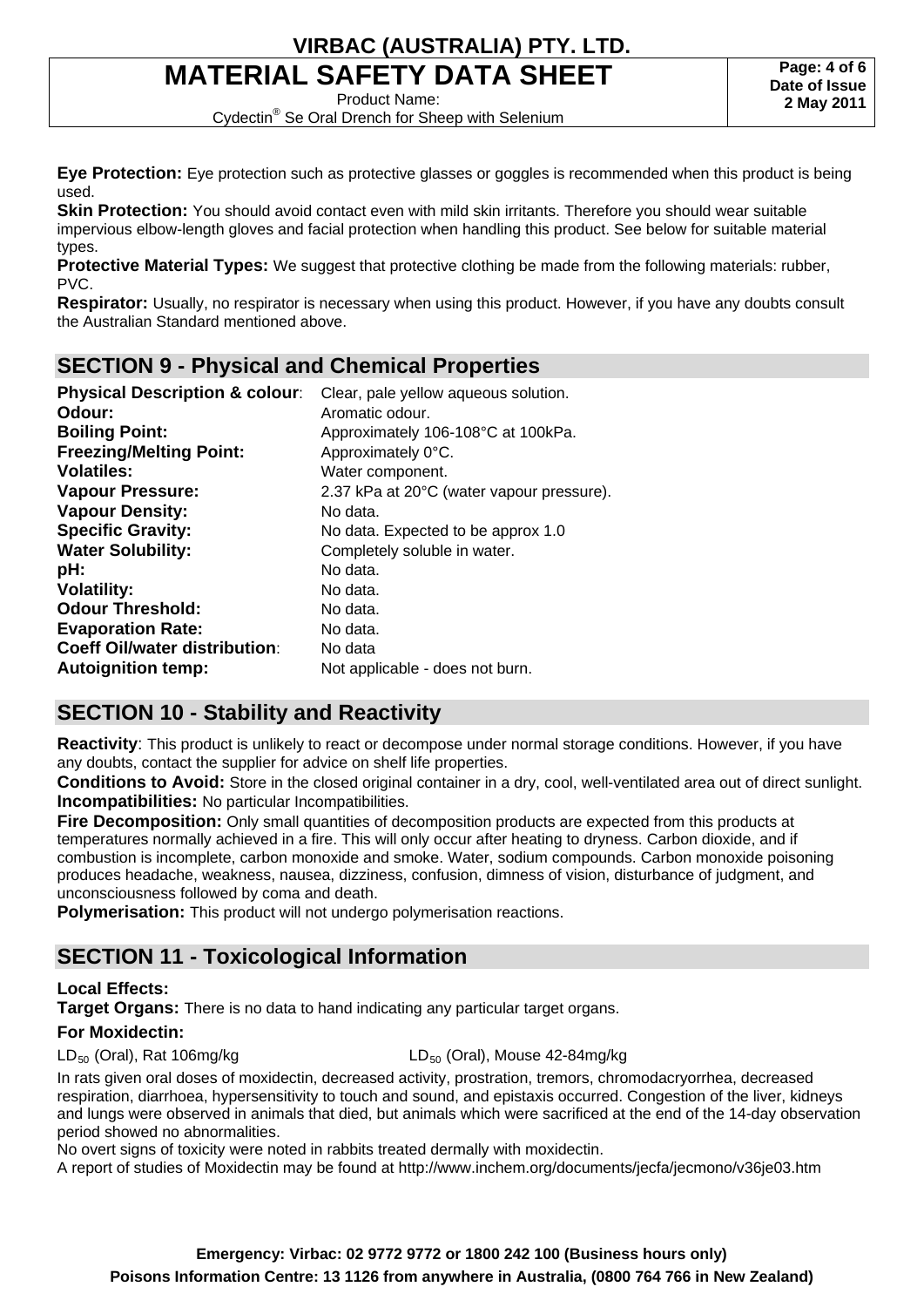# **MATERIAL SAFETY DATA SHEET**

Product Name:

Cydectin® Se Oral Drench for Sheep with Selenium

**Eye Protection:** Eye protection such as protective glasses or goggles is recommended when this product is being used.

**Skin Protection:** You should avoid contact even with mild skin irritants. Therefore you should wear suitable impervious elbow-length gloves and facial protection when handling this product. See below for suitable material types.

**Protective Material Types:** We suggest that protective clothing be made from the following materials: rubber, PVC.

**Respirator:** Usually, no respirator is necessary when using this product. However, if you have any doubts consult the Australian Standard mentioned above.

## **SECTION 9 - Physical and Chemical Properties**

| <b>Physical Description &amp; colour:</b> | Clear, pale yellow aqueous solution.      |
|-------------------------------------------|-------------------------------------------|
| Odour:                                    | Aromatic odour.                           |
| <b>Boiling Point:</b>                     | Approximately 106-108°C at 100kPa.        |
| <b>Freezing/Melting Point:</b>            | Approximately 0°C.                        |
| <b>Volatiles:</b>                         | Water component.                          |
| <b>Vapour Pressure:</b>                   | 2.37 kPa at 20°C (water vapour pressure). |
| <b>Vapour Density:</b>                    | No data.                                  |
| <b>Specific Gravity:</b>                  | No data. Expected to be approx 1.0        |
| <b>Water Solubility:</b>                  | Completely soluble in water.              |
| pH:                                       | No data.                                  |
| <b>Volatility:</b>                        | No data.                                  |
| <b>Odour Threshold:</b>                   | No data.                                  |
| <b>Evaporation Rate:</b>                  | No data.                                  |
| <b>Coeff Oil/water distribution:</b>      | No data                                   |
| <b>Autoignition temp:</b>                 | Not applicable - does not burn.           |
|                                           |                                           |

## **SECTION 10 - Stability and Reactivity**

**Reactivity**: This product is unlikely to react or decompose under normal storage conditions. However, if you have any doubts, contact the supplier for advice on shelf life properties.

**Conditions to Avoid:** Store in the closed original container in a dry, cool, well-ventilated area out of direct sunlight. **Incompatibilities:** No particular Incompatibilities.

**Fire Decomposition:** Only small quantities of decomposition products are expected from this products at temperatures normally achieved in a fire. This will only occur after heating to dryness. Carbon dioxide, and if combustion is incomplete, carbon monoxide and smoke. Water, sodium compounds. Carbon monoxide poisoning produces headache, weakness, nausea, dizziness, confusion, dimness of vision, disturbance of judgment, and unconsciousness followed by coma and death.

**Polymerisation:** This product will not undergo polymerisation reactions.

## **SECTION 11 - Toxicological Information**

### **Local Effects:**

**Target Organs:** There is no data to hand indicating any particular target organs.

### **For Moxidectin:**

#### $LD_{50}$  (Oral), Rat 106mg/kg LD<sub>50</sub> (Oral), Mouse 42-84mg/kg

In rats given oral doses of moxidectin, decreased activity, prostration, tremors, chromodacryorrhea, decreased respiration, diarrhoea, hypersensitivity to touch and sound, and epistaxis occurred. Congestion of the liver, kidneys and lungs were observed in animals that died, but animals which were sacrificed at the end of the 14-day observation period showed no abnormalities.

No overt signs of toxicity were noted in rabbits treated dermally with moxidectin.

A report of studies of Moxidectin may be found at http://www.inchem.org/documents/jecfa/jecmono/v36je03.htm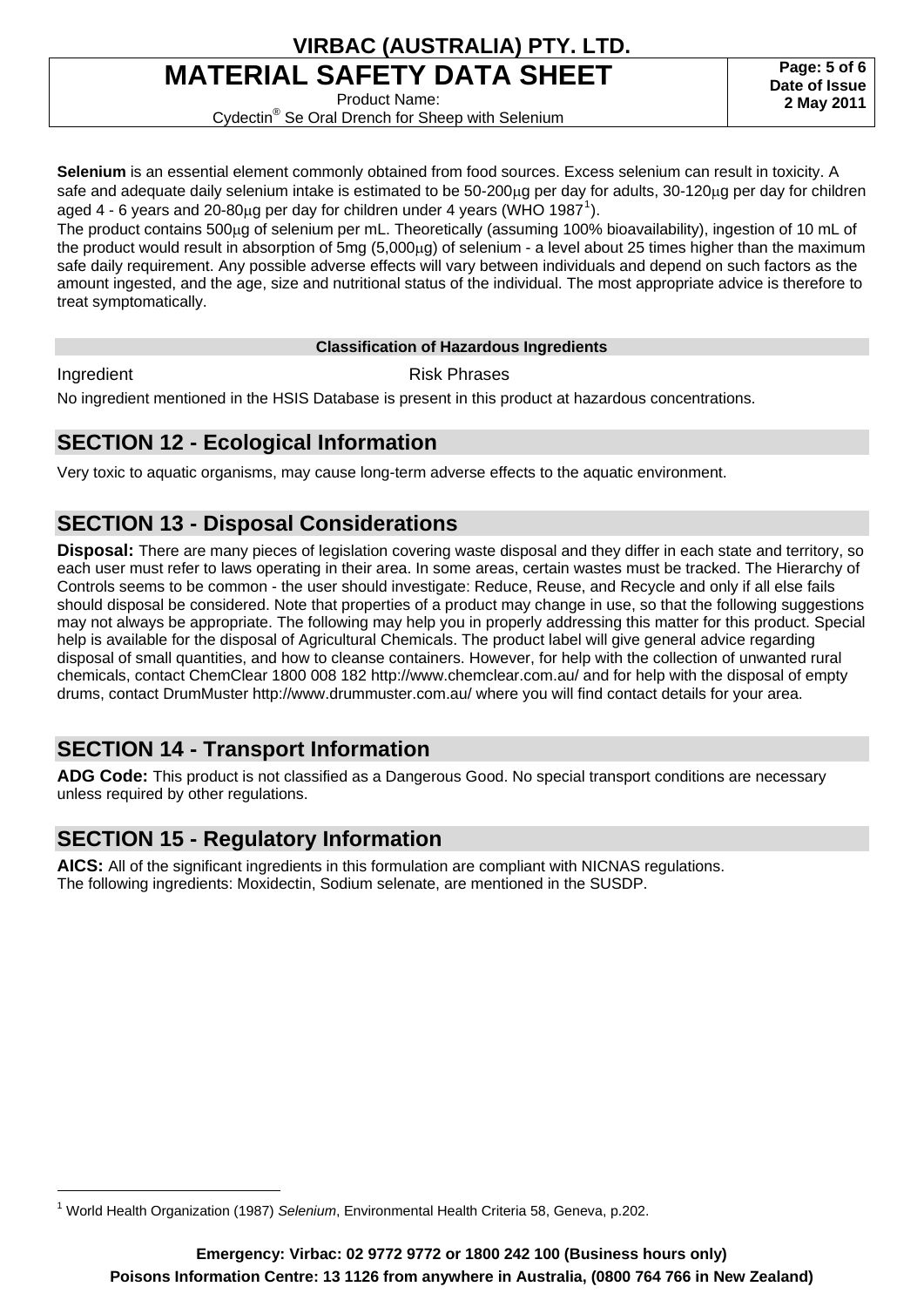# **MATERIAL SAFETY DATA SHEET**

Product Name:

**Page: 5 of 6 Date of Issue 2 May 2011**

Cydectin® Se Oral Drench for Sheep with Selenium

**Selenium** is an essential element commonly obtained from food sources. Excess selenium can result in toxicity. A safe and adequate daily selenium intake is estimated to be 50-200<sub>m</sub> per day for adults, 30-120<sub>m</sub> per day for children aged 4 - 6 years and 20-80µg per day for children under 4 years (WHO [1](#page-4-0)987<sup>1</sup>).

The product contains 500µg of selenium per mL. Theoretically (assuming 100% bioavailability), ingestion of 10 mL of the product would result in absorption of  $5mg(5,000<sub>\mu</sub>q)$  of selenium - a level about 25 times higher than the maximum safe daily requirement. Any possible adverse effects will vary between individuals and depend on such factors as the amount ingested, and the age, size and nutritional status of the individual. The most appropriate advice is therefore to treat symptomatically.

#### **Classification of Hazardous Ingredients**

 $\overline{a}$ 

Ingredient **Risk Phrases** 

No ingredient mentioned in the HSIS Database is present in this product at hazardous concentrations.

## **SECTION 12 - Ecological Information**

Very toxic to aquatic organisms, may cause long-term adverse effects to the aquatic environment.

## **SECTION 13 - Disposal Considerations**

**Disposal:** There are many pieces of legislation covering waste disposal and they differ in each state and territory, so each user must refer to laws operating in their area. In some areas, certain wastes must be tracked. The Hierarchy of Controls seems to be common - the user should investigate: Reduce, Reuse, and Recycle and only if all else fails should disposal be considered. Note that properties of a product may change in use, so that the following suggestions may not always be appropriate. The following may help you in properly addressing this matter for this product. Special help is available for the disposal of Agricultural Chemicals. The product label will give general advice regarding disposal of small quantities, and how to cleanse containers. However, for help with the collection of unwanted rural chemicals, contact ChemClear 1800 008 182 http://www.chemclear.com.au/ and for help with the disposal of empty drums, contact DrumMuster http://www.drummuster.com.au/ where you will find contact details for your area.

## **SECTION 14 - Transport Information**

**ADG Code:** This product is not classified as a Dangerous Good. No special transport conditions are necessary unless required by other regulations.

## **SECTION 15 - Regulatory Information**

**AICS:** All of the significant ingredients in this formulation are compliant with NICNAS regulations. The following ingredients: Moxidectin, Sodium selenate, are mentioned in the SUSDP.

<span id="page-4-0"></span><sup>1</sup> World Health Organization (1987) *Selenium*, Environmental Health Criteria 58, Geneva, p.202.